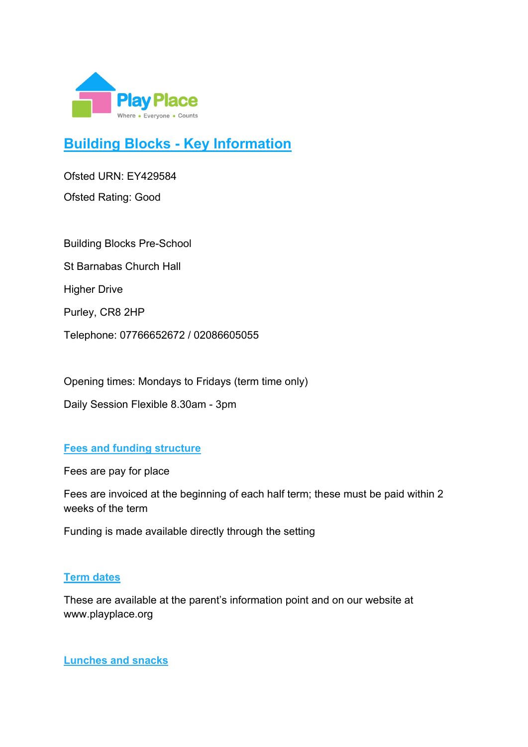

# **Building Blocks - Key Information**

Ofsted URN: EY429584

Ofsted Rating: Good

Building Blocks Pre-School St Barnabas Church Hall Higher Drive Purley, CR8 2HP Telephone: 07766652672 / 02086605055

Opening times: Mondays to Fridays (term time only) Daily Session Flexible 8.30am - 3pm

## **Fees and funding structure**

Fees are pay for place

Fees are invoiced at the beginning of each half term; these must be paid within 2 weeks of the term

Funding is made available directly through the setting

#### **Term dates**

These are available at the parent's information point and on our website at www.playplace.org

**Lunches and snacks**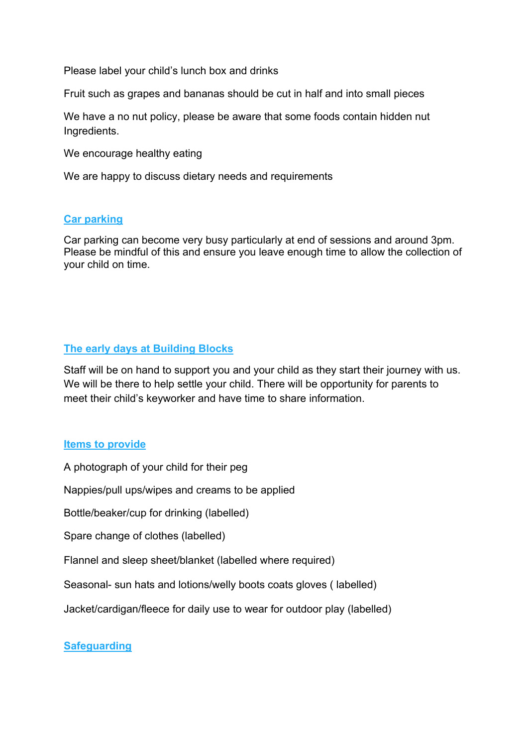Please label your child's lunch box and drinks

Fruit such as grapes and bananas should be cut in half and into small pieces

We have a no nut policy, please be aware that some foods contain hidden nut Ingredients.

We encourage healthy eating

We are happy to discuss dietary needs and requirements

#### **Car parking**

Car parking can become very busy particularly at end of sessions and around 3pm. Please be mindful of this and ensure you leave enough time to allow the collection of your child on time.

### **The early days at Building Blocks**

Staff will be on hand to support you and your child as they start their journey with us. We will be there to help settle your child. There will be opportunity for parents to meet their child's keyworker and have time to share information.

#### **Items to provide**

A photograph of your child for their peg

Nappies/pull ups/wipes and creams to be applied

Bottle/beaker/cup for drinking (labelled)

Spare change of clothes (labelled)

Flannel and sleep sheet/blanket (labelled where required)

Seasonal- sun hats and lotions/welly boots coats gloves ( labelled)

Jacket/cardigan/fleece for daily use to wear for outdoor play (labelled)

#### **Safeguarding**